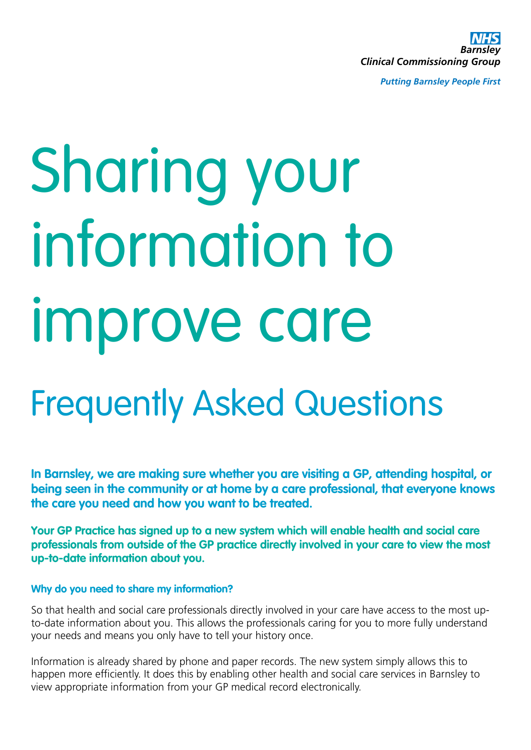*Barnsley Clinical Commissioning Group*

*Putting Barnsley People First*

# Sharing your information to improve care

# Frequently Asked Questions

**In Barnsley, we are making sure whether you are visiting a GP, attending hospital, or being seen in the community or at home by a care professional, that everyone knows the care you need and how you want to be treated.**

**Your GP Practice has signed up to a new system which will enable health and social care professionals from outside of the GP practice directly involved in your care to view the most up-to-date information about you.**

### **Why do you need to share my information?**

So that health and social care professionals directly involved in your care have access to the most upto-date information about you. This allows the professionals caring for you to more fully understand your needs and means you only have to tell your history once.

Information is already shared by phone and paper records. The new system simply allows this to happen more efficiently. It does this by enabling other health and social care services in Barnsley to view appropriate information from your GP medical record electronically.